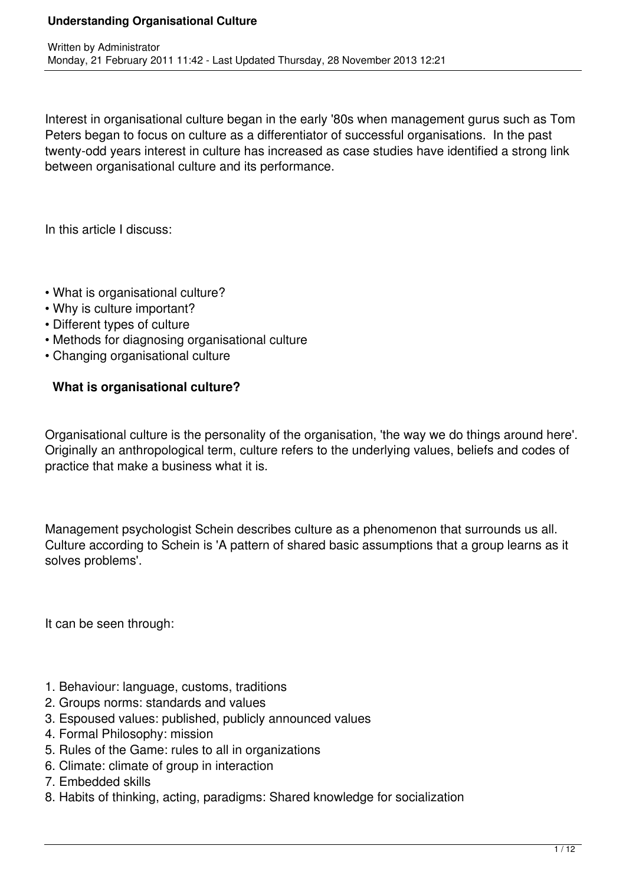Interest in organisational culture began in the early '80s when management gurus such as Tom Peters began to focus on culture as a differentiator of successful organisations. In the past twenty-odd years interest in culture has increased as case studies have identified a strong link between organisational culture and its performance.

In this article I discuss:

- What is organisational culture?
- Why is culture important?
- Different types of culture
- Methods for diagnosing organisational culture
- Changing organisational culture

## **What is organisational culture?**

Organisational culture is the personality of the organisation, 'the way we do things around here'. Originally an anthropological term, culture refers to the underlying values, beliefs and codes of practice that make a business what it is.

Management psychologist Schein describes culture as a phenomenon that surrounds us all. Culture according to Schein is 'A pattern of shared basic assumptions that a group learns as it solves problems'.

It can be seen through:

- 1. Behaviour: language, customs, traditions
- 2. Groups norms: standards and values
- 3. Espoused values: published, publicly announced values
- 4. Formal Philosophy: mission
- 5. Rules of the Game: rules to all in organizations
- 6. Climate: climate of group in interaction
- 7. Embedded skills
- 8. Habits of thinking, acting, paradigms: Shared knowledge for socialization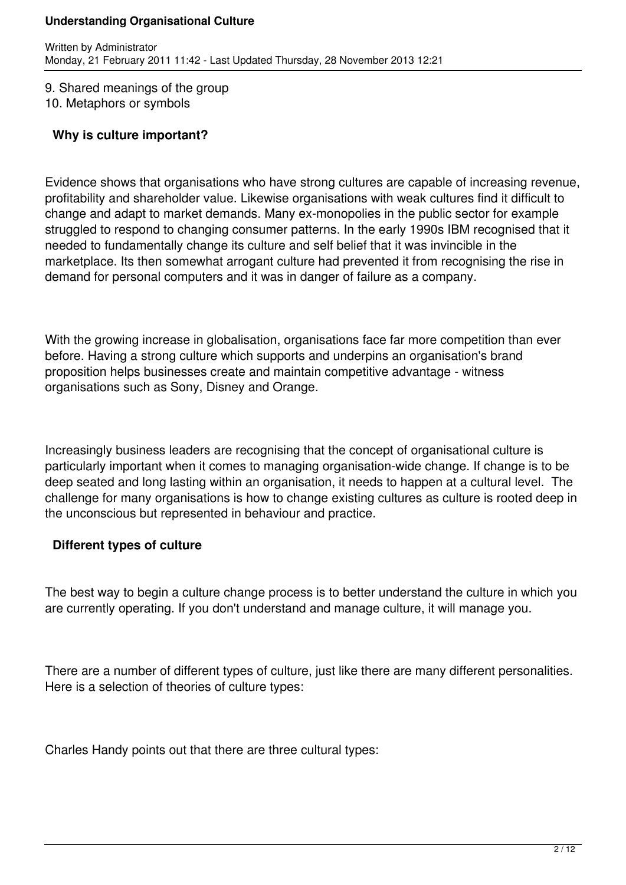9. Shared meanings of the group 10. Metaphors or symbols

## **Why is culture important?**

Evidence shows that organisations who have strong cultures are capable of increasing revenue, profitability and shareholder value. Likewise organisations with weak cultures find it difficult to change and adapt to market demands. Many ex-monopolies in the public sector for example struggled to respond to changing consumer patterns. In the early 1990s IBM recognised that it needed to fundamentally change its culture and self belief that it was invincible in the marketplace. Its then somewhat arrogant culture had prevented it from recognising the rise in demand for personal computers and it was in danger of failure as a company.

With the growing increase in globalisation, organisations face far more competition than ever before. Having a strong culture which supports and underpins an organisation's brand proposition helps businesses create and maintain competitive advantage - witness organisations such as Sony, Disney and Orange.

Increasingly business leaders are recognising that the concept of organisational culture is particularly important when it comes to managing organisation-wide change. If change is to be deep seated and long lasting within an organisation, it needs to happen at a cultural level. The challenge for many organisations is how to change existing cultures as culture is rooted deep in the unconscious but represented in behaviour and practice.

## **Different types of culture**

The best way to begin a culture change process is to better understand the culture in which you are currently operating. If you don't understand and manage culture, it will manage you.

There are a number of different types of culture, just like there are many different personalities. Here is a selection of theories of culture types:

Charles Handy points out that there are three cultural types: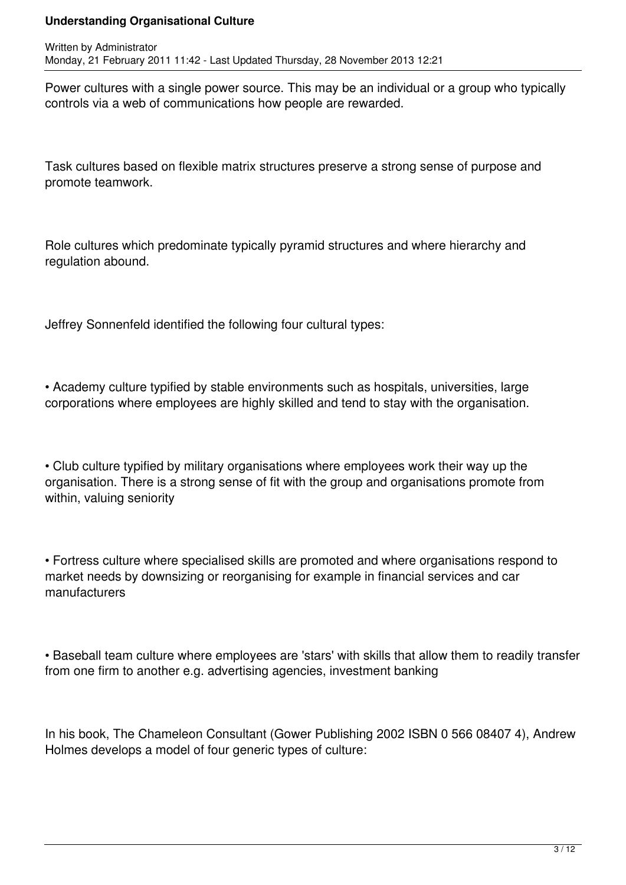Power cultures with a single power source. This may be an individual or a group who typically controls via a web of communications how people are rewarded.

Task cultures based on flexible matrix structures preserve a strong sense of purpose and promote teamwork.

Role cultures which predominate typically pyramid structures and where hierarchy and regulation abound.

Jeffrey Sonnenfeld identified the following four cultural types:

• Academy culture typified by stable environments such as hospitals, universities, large corporations where employees are highly skilled and tend to stay with the organisation.

• Club culture typified by military organisations where employees work their way up the organisation. There is a strong sense of fit with the group and organisations promote from within, valuing seniority

• Fortress culture where specialised skills are promoted and where organisations respond to market needs by downsizing or reorganising for example in financial services and car manufacturers

• Baseball team culture where employees are 'stars' with skills that allow them to readily transfer from one firm to another e.g. advertising agencies, investment banking

In his book, The Chameleon Consultant (Gower Publishing 2002 ISBN 0 566 08407 4), Andrew Holmes develops a model of four generic types of culture: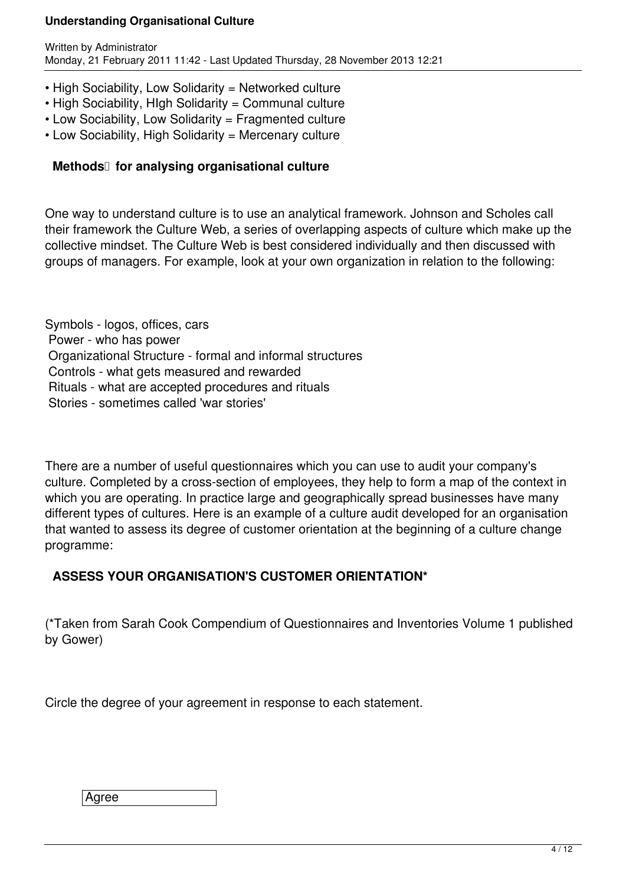- High Sociability, Low Solidarity = Networked culture
- High Sociability, HIgh Solidarity = Communal culture
- Low Sociability, Low Solidarity = Fragmented culture
- Low Sociability, High Solidarity = Mercenary culture

### **Methods** for analysing organisational culture

One way to understand culture is to use an analytical framework. Johnson and Scholes call their framework the Culture Web, a series of overlapping aspects of culture which make up the collective mindset. The Culture Web is best considered individually and then discussed with groups of managers. For example, look at your own organization in relation to the following:

Symbols - logos, offices, cars Power - who has power Organizational Structure - formal and informal structures Controls - what gets measured and rewarded Rituals - what are accepted procedures and rituals Stories - sometimes called 'war stories'

There are a number of useful questionnaires which you can use to audit your company's culture. Completed by a cross-section of employees, they help to form a map of the context in which you are operating. In practice large and geographically spread businesses have many different types of cultures. Here is an example of a culture audit developed for an organisation that wanted to assess its degree of customer orientation at the beginning of a culture change programme:

## **ASSESS YOUR ORGANISATION'S CUSTOMER ORIENTATION\***

(\*Taken from Sarah Cook Compendium of Questionnaires and Inventories Volume 1 published by Gower)

Circle the degree of your agreement in response to each statement.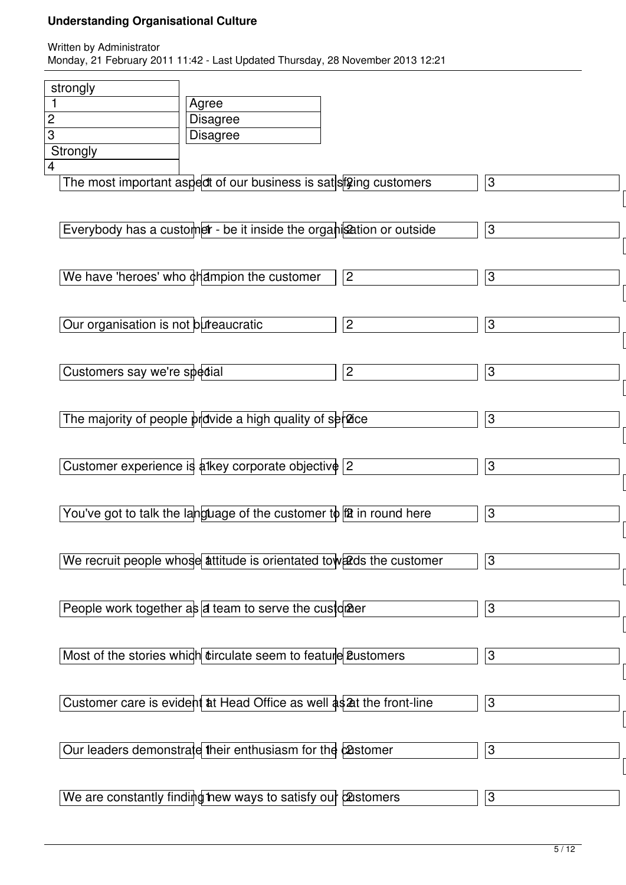| strongly                             |                                                                       |                |   |
|--------------------------------------|-----------------------------------------------------------------------|----------------|---|
| 1                                    | Agree                                                                 |                |   |
| $\mathbf{c}$                         | <b>Disagree</b>                                                       |                |   |
| $\overline{3}$                       | <b>Disagree</b>                                                       |                |   |
| Strongly                             |                                                                       |                |   |
| $\overline{4}$                       |                                                                       |                |   |
|                                      | The most important aspect of our business is satist ging customers    |                | 3 |
|                                      |                                                                       |                |   |
|                                      | Everybody has a customer - be it inside the organisation or outside   |                | 3 |
|                                      |                                                                       |                |   |
|                                      |                                                                       |                |   |
|                                      | We have 'heroes' who champion the customer                            | $\mathbf{2}$   | 3 |
|                                      |                                                                       |                |   |
|                                      |                                                                       |                |   |
| Our organisation is not bureaucratic |                                                                       | $\overline{c}$ | 3 |
|                                      |                                                                       |                |   |
|                                      |                                                                       |                |   |
| Customers say we're spedial          |                                                                       | $\overline{c}$ | 3 |
|                                      |                                                                       |                |   |
|                                      |                                                                       |                |   |
|                                      | The majority of people provide a high quality of service              |                | 3 |
|                                      |                                                                       |                |   |
|                                      | Customer experience is alkey corporate objective                      | $\overline{2}$ | 3 |
|                                      |                                                                       |                |   |
|                                      |                                                                       |                |   |
|                                      | You've got to talk the language of the customer to $f2$ in round here |                | 3 |
|                                      |                                                                       |                |   |
|                                      |                                                                       |                |   |
|                                      | We recruit people whose attitude is orientated towards the customer   |                | 3 |
|                                      |                                                                       |                |   |
|                                      |                                                                       |                |   |
|                                      | People work together $a\frac{1}{2}$ at team to serve the customer     |                | 3 |
|                                      |                                                                       |                |   |
|                                      |                                                                       |                |   |
|                                      | Most of the stories which tirculate seem to feature 2ustomers         |                | 3 |
|                                      |                                                                       |                |   |
|                                      | Customer care is evident at Head Office as well as 2t the front-line  |                | 3 |
|                                      |                                                                       |                |   |
|                                      |                                                                       |                |   |
|                                      | Our leaders demonstrate their enthusiasm for the castomer             |                | 3 |
|                                      |                                                                       |                |   |
|                                      |                                                                       |                |   |
|                                      | We are constantly finding hew ways to satisfy our castomers           |                | 3 |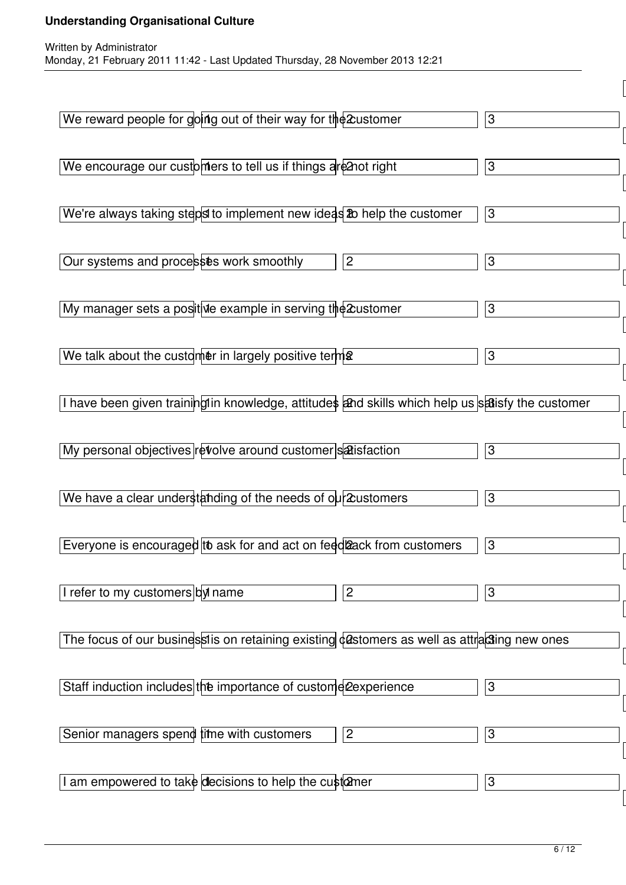| We reward people for going out of their way for the 2 ustomer                                    | $\sqrt{3}$                |
|--------------------------------------------------------------------------------------------------|---------------------------|
| We encourage our customers to tell us if things are 2not right                                   | $\sqrt{3}$                |
| We're always taking steps to implement new ideas 20 help the customer                            | $\overline{3}$            |
| Our systems and processes work smoothly<br>$\overline{c}$                                        | $\sqrt{3}$                |
| My manager sets a positive example in serving the 2 ustomer                                      | $\sqrt{3}$                |
| We talk about the customer in largely positive term $\frac{1}{2}$                                | $\sqrt{3}$                |
| I have been given training in knowledge, attitudes and skills which help us satisfy the customer |                           |
| My personal objectives revolve around customer satisfaction                                      | $\sqrt{3}$                |
| We have a clear understanding of the needs of $o\mu$ 2 ustomers                                  | $\ensuremath{\mathsf{3}}$ |
| Everyone is encouraged to ask for and act on feed ack from customers                             | 3                         |
| I refer to my customers by name<br>$\overline{c}$                                                | 3                         |
| The focus of our businessis on retaining existing castomers as well as attracting new ones       |                           |
| Staff induction includes the importance of custome 2experience                                   | 3                         |
| Senior managers spend time with customers<br>$\overline{c}$                                      | $\sqrt{3}$                |
| I am empowered to take decisions to help the cust $\alpha$ ner                                   | 3                         |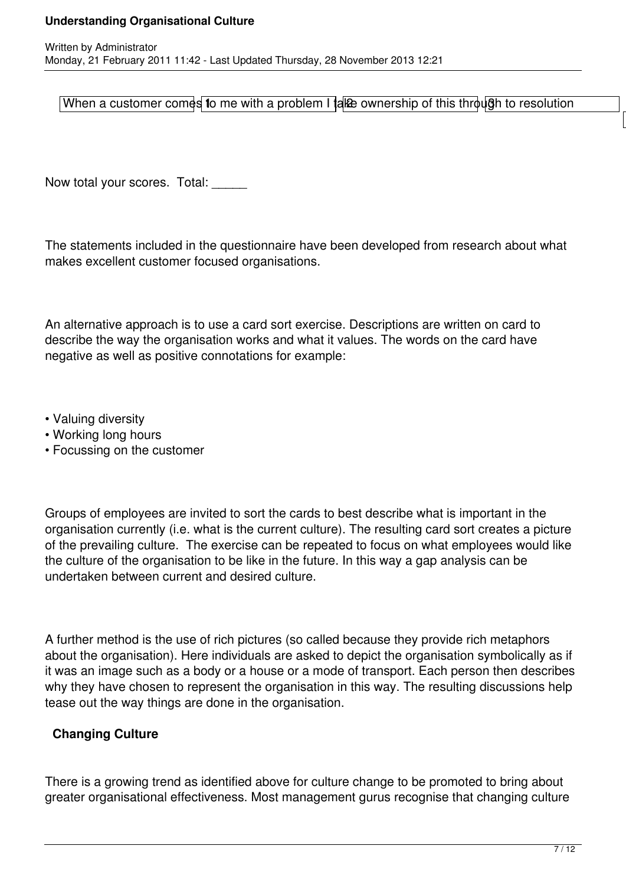When a customer comes to me with a problem I take ownership of this through to resolution

Now total your scores. Total:

The statements included in the questionnaire have been developed from research about what makes excellent customer focused organisations.

An alternative approach is to use a card sort exercise. Descriptions are written on card to describe the way the organisation works and what it values. The words on the card have negative as well as positive connotations for example:

- Valuing diversity
- Working long hours
- Focussing on the customer

Groups of employees are invited to sort the cards to best describe what is important in the organisation currently (i.e. what is the current culture). The resulting card sort creates a picture of the prevailing culture. The exercise can be repeated to focus on what employees would like the culture of the organisation to be like in the future. In this way a gap analysis can be undertaken between current and desired culture.

A further method is the use of rich pictures (so called because they provide rich metaphors about the organisation). Here individuals are asked to depict the organisation symbolically as if it was an image such as a body or a house or a mode of transport. Each person then describes why they have chosen to represent the organisation in this way. The resulting discussions help tease out the way things are done in the organisation.

## **Changing Culture**

There is a growing trend as identified above for culture change to be promoted to bring about greater organisational effectiveness. Most management gurus recognise that changing culture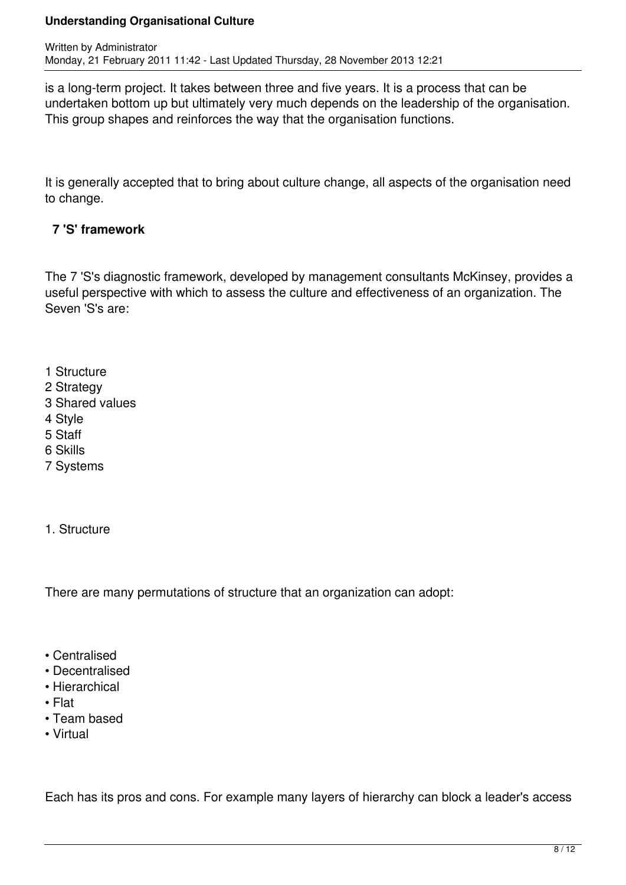is a long-term project. It takes between three and five years. It is a process that can be undertaken bottom up but ultimately very much depends on the leadership of the organisation. This group shapes and reinforces the way that the organisation functions.

It is generally accepted that to bring about culture change, all aspects of the organisation need to change.

## **7 'S' framework**

The 7 'S's diagnostic framework, developed by management consultants McKinsey, provides a useful perspective with which to assess the culture and effectiveness of an organization. The Seven 'S's are:

- 1 Structure
- 2 Strategy
- 3 Shared values
- 4 Style
- 5 Staff
- 6 Skills
- 7 Systems
- 1. Structure

There are many permutations of structure that an organization can adopt:

- Centralised
- Decentralised
- Hierarchical
- Flat
- Team based
- Virtual

Each has its pros and cons. For example many layers of hierarchy can block a leader's access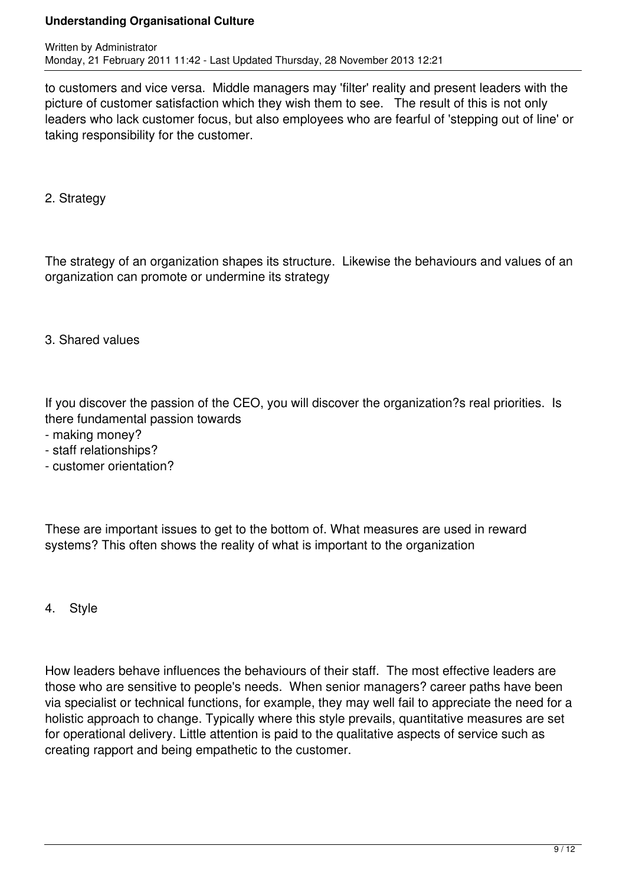to customers and vice versa. Middle managers may 'filter' reality and present leaders with the picture of customer satisfaction which they wish them to see. The result of this is not only leaders who lack customer focus, but also employees who are fearful of 'stepping out of line' or taking responsibility for the customer.

2. Strategy

The strategy of an organization shapes its structure. Likewise the behaviours and values of an organization can promote or undermine its strategy

3. Shared values

If you discover the passion of the CEO, you will discover the organization?s real priorities. Is there fundamental passion towards

- making money?
- staff relationships?
- customer orientation?

These are important issues to get to the bottom of. What measures are used in reward systems? This often shows the reality of what is important to the organization

4. Style

How leaders behave influences the behaviours of their staff. The most effective leaders are those who are sensitive to people's needs. When senior managers? career paths have been via specialist or technical functions, for example, they may well fail to appreciate the need for a holistic approach to change. Typically where this style prevails, quantitative measures are set for operational delivery. Little attention is paid to the qualitative aspects of service such as creating rapport and being empathetic to the customer.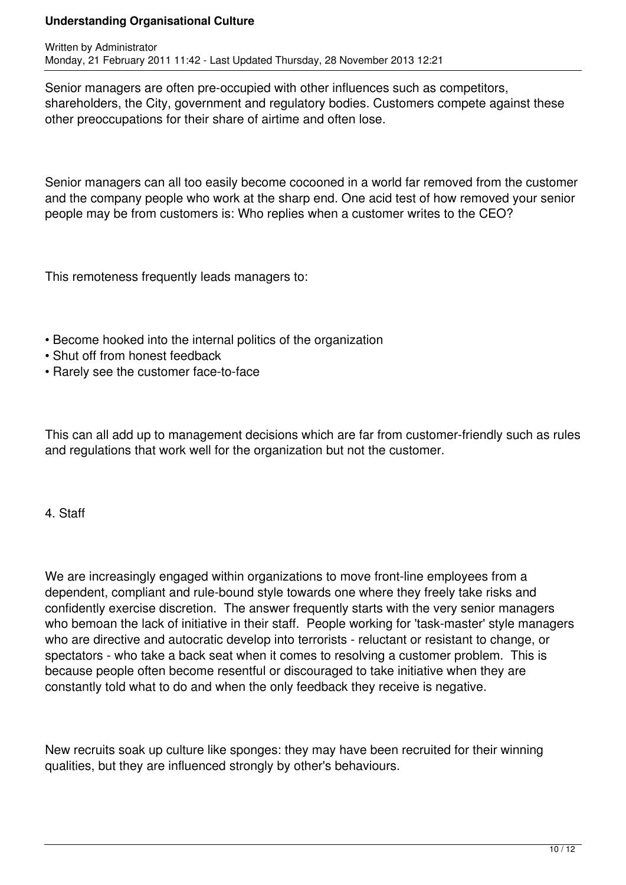Senior managers are often pre-occupied with other influences such as competitors, shareholders, the City, government and regulatory bodies. Customers compete against these other preoccupations for their share of airtime and often lose.

Senior managers can all too easily become cocooned in a world far removed from the customer and the company people who work at the sharp end. One acid test of how removed your senior people may be from customers is: Who replies when a customer writes to the CEO?

This remoteness frequently leads managers to:

- Become hooked into the internal politics of the organization
- Shut off from honest feedback
- Rarely see the customer face-to-face

This can all add up to management decisions which are far from customer-friendly such as rules and regulations that work well for the organization but not the customer.

## 4. Staff

We are increasingly engaged within organizations to move front-line employees from a dependent, compliant and rule-bound style towards one where they freely take risks and confidently exercise discretion. The answer frequently starts with the very senior managers who bemoan the lack of initiative in their staff. People working for 'task-master' style managers who are directive and autocratic develop into terrorists - reluctant or resistant to change, or spectators - who take a back seat when it comes to resolving a customer problem. This is because people often become resentful or discouraged to take initiative when they are constantly told what to do and when the only feedback they receive is negative.

New recruits soak up culture like sponges: they may have been recruited for their winning qualities, but they are influenced strongly by other's behaviours.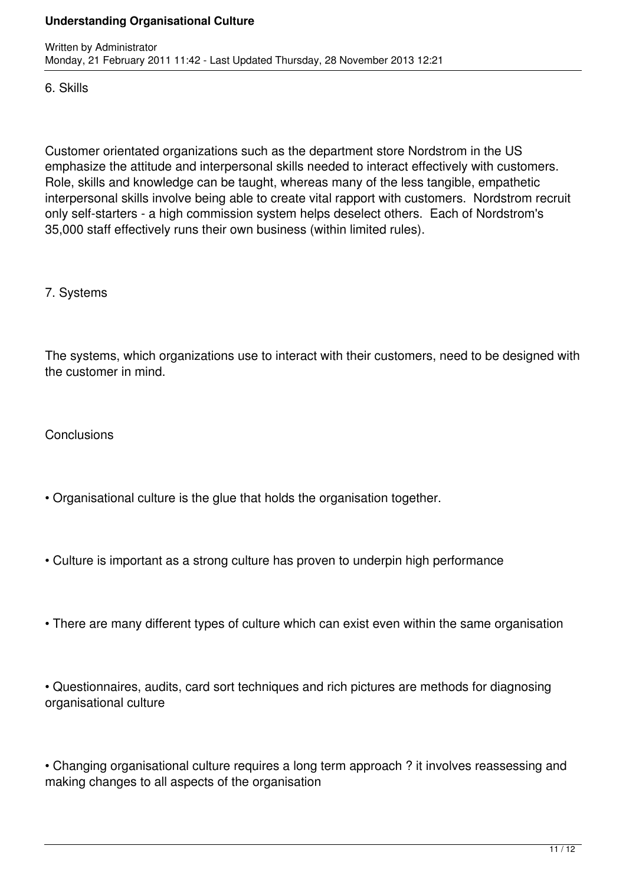6. Skills

Customer orientated organizations such as the department store Nordstrom in the US emphasize the attitude and interpersonal skills needed to interact effectively with customers. Role, skills and knowledge can be taught, whereas many of the less tangible, empathetic interpersonal skills involve being able to create vital rapport with customers. Nordstrom recruit only self-starters - a high commission system helps deselect others. Each of Nordstrom's 35,000 staff effectively runs their own business (within limited rules).

7. Systems

The systems, which organizations use to interact with their customers, need to be designed with the customer in mind.

**Conclusions** 

- Organisational culture is the glue that holds the organisation together.
- Culture is important as a strong culture has proven to underpin high performance
- There are many different types of culture which can exist even within the same organisation

• Questionnaires, audits, card sort techniques and rich pictures are methods for diagnosing organisational culture

• Changing organisational culture requires a long term approach ? it involves reassessing and making changes to all aspects of the organisation